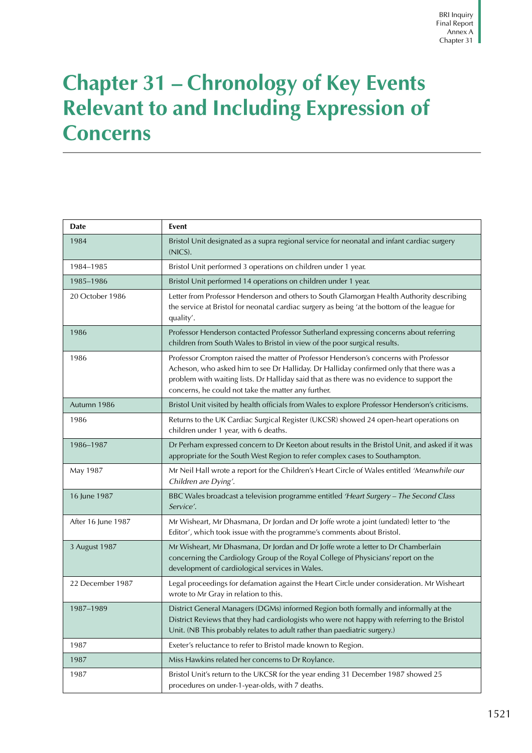## **Chapter 31 – Chronology of Key Events Relevant to and Including Expression of Concerns**

| Date               | Event                                                                                                                                                                                                                                                                                                                               |
|--------------------|-------------------------------------------------------------------------------------------------------------------------------------------------------------------------------------------------------------------------------------------------------------------------------------------------------------------------------------|
| 1984               | Bristol Unit designated as a supra regional service for neonatal and infant cardiac surgery<br>(NICS).                                                                                                                                                                                                                              |
| 1984-1985          | Bristol Unit performed 3 operations on children under 1 year.                                                                                                                                                                                                                                                                       |
| 1985-1986          | Bristol Unit performed 14 operations on children under 1 year.                                                                                                                                                                                                                                                                      |
| 20 October 1986    | Letter from Professor Henderson and others to South Glamorgan Health Authority describing<br>the service at Bristol for neonatal cardiac surgery as being 'at the bottom of the league for<br>quality'.                                                                                                                             |
| 1986               | Professor Henderson contacted Professor Sutherland expressing concerns about referring<br>children from South Wales to Bristol in view of the poor surgical results.                                                                                                                                                                |
| 1986               | Professor Crompton raised the matter of Professor Henderson's concerns with Professor<br>Acheson, who asked him to see Dr Halliday. Dr Halliday confirmed only that there was a<br>problem with waiting lists. Dr Halliday said that as there was no evidence to support the<br>concerns, he could not take the matter any further. |
| Autumn 1986        | Bristol Unit visited by health officials from Wales to explore Professor Henderson's criticisms.                                                                                                                                                                                                                                    |
| 1986               | Returns to the UK Cardiac Surgical Register (UKCSR) showed 24 open-heart operations on<br>children under 1 year, with 6 deaths.                                                                                                                                                                                                     |
| 1986-1987          | Dr Perham expressed concern to Dr Keeton about results in the Bristol Unit, and asked if it was<br>appropriate for the South West Region to refer complex cases to Southampton.                                                                                                                                                     |
| May 1987           | Mr Neil Hall wrote a report for the Children's Heart Circle of Wales entitled 'Meanwhile our<br>Children are Dying'.                                                                                                                                                                                                                |
| 16 June 1987       | BBC Wales broadcast a television programme entitled 'Heart Surgery - The Second Class<br>Service'.                                                                                                                                                                                                                                  |
| After 16 June 1987 | Mr Wisheart, Mr Dhasmana, Dr Jordan and Dr Joffe wrote a joint (undated) letter to 'the<br>Editor', which took issue with the programme's comments about Bristol.                                                                                                                                                                   |
| 3 August 1987      | Mr Wisheart, Mr Dhasmana, Dr Jordan and Dr Joffe wrote a letter to Dr Chamberlain<br>concerning the Cardiology Group of the Royal College of Physicians' report on the<br>development of cardiological services in Wales.                                                                                                           |
| 22 December 1987   | Legal proceedings for defamation against the Heart Circle under consideration. Mr Wisheart<br>wrote to Mr Gray in relation to this.                                                                                                                                                                                                 |
| 1987-1989          | District General Managers (DGMs) informed Region both formally and informally at the<br>District Reviews that they had cardiologists who were not happy with referring to the Bristol<br>Unit. (NB This probably relates to adult rather than paediatric surgery.)                                                                  |
| 1987               | Exeter's reluctance to refer to Bristol made known to Region.                                                                                                                                                                                                                                                                       |
| 1987               | Miss Hawkins related her concerns to Dr Roylance.                                                                                                                                                                                                                                                                                   |
| 1987               | Bristol Unit's return to the UKCSR for the year ending 31 December 1987 showed 25<br>procedures on under-1-year-olds, with 7 deaths.                                                                                                                                                                                                |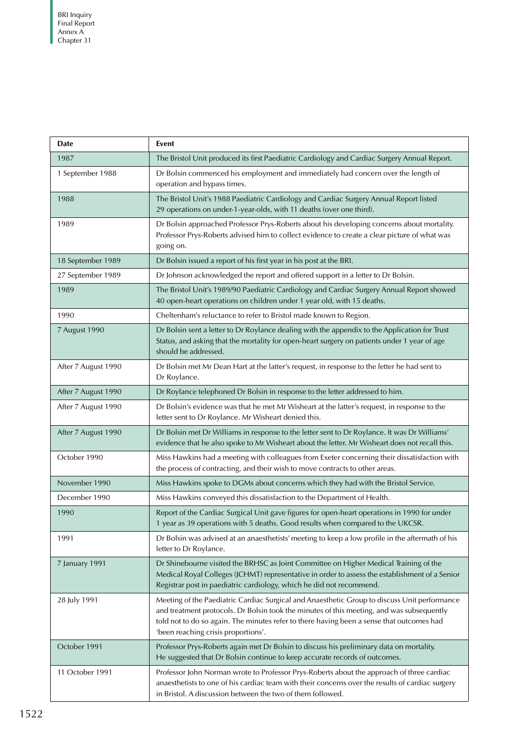| <b>Date</b>         | Event                                                                                                                                                                                                                                                                                                                         |
|---------------------|-------------------------------------------------------------------------------------------------------------------------------------------------------------------------------------------------------------------------------------------------------------------------------------------------------------------------------|
| 1987                | The Bristol Unit produced its first Paediatric Cardiology and Cardiac Surgery Annual Report.                                                                                                                                                                                                                                  |
| 1 September 1988    | Dr Bolsin commenced his employment and immediately had concern over the length of<br>operation and bypass times.                                                                                                                                                                                                              |
| 1988                | The Bristol Unit's 1988 Paediatric Cardiology and Cardiac Surgery Annual Report listed<br>29 operations on under-1-year-olds, with 11 deaths (over one third).                                                                                                                                                                |
| 1989                | Dr Bolsin approached Professor Prys-Roberts about his developing concerns about mortality.<br>Professor Prys-Roberts advised him to collect evidence to create a clear picture of what was<br>going on.                                                                                                                       |
| 18 September 1989   | Dr Bolsin issued a report of his first year in his post at the BRI.                                                                                                                                                                                                                                                           |
| 27 September 1989   | Dr Johnson acknowledged the report and offered support in a letter to Dr Bolsin.                                                                                                                                                                                                                                              |
| 1989                | The Bristol Unit's 1989/90 Paediatric Cardiology and Cardiac Surgery Annual Report showed<br>40 open-heart operations on children under 1 year old, with 15 deaths.                                                                                                                                                           |
| 1990                | Cheltenham's reluctance to refer to Bristol made known to Region.                                                                                                                                                                                                                                                             |
| 7 August 1990       | Dr Bolsin sent a letter to Dr Roylance dealing with the appendix to the Application for Trust<br>Status, and asking that the mortality for open-heart surgery on patients under 1 year of age<br>should be addressed.                                                                                                         |
| After 7 August 1990 | Dr Bolsin met Mr Dean Hart at the latter's request, in response to the letter he had sent to<br>Dr Roylance.                                                                                                                                                                                                                  |
| After 7 August 1990 | Dr Roylance telephoned Dr Bolsin in response to the letter addressed to him.                                                                                                                                                                                                                                                  |
| After 7 August 1990 | Dr Bolsin's evidence was that he met Mr Wisheart at the latter's request, in response to the<br>letter sent to Dr Roylance. Mr Wisheart denied this.                                                                                                                                                                          |
| After 7 August 1990 | Dr Bolsin met Dr Williams in response to the letter sent to Dr Roylance. It was Dr Williams'<br>evidence that he also spoke to Mr Wisheart about the letter. Mr Wisheart does not recall this.                                                                                                                                |
| October 1990        | Miss Hawkins had a meeting with colleagues from Exeter concerning their dissatisfaction with<br>the process of contracting, and their wish to move contracts to other areas.                                                                                                                                                  |
| November 1990       | Miss Hawkins spoke to DGMs about concerns which they had with the Bristol Service.                                                                                                                                                                                                                                            |
| December 1990       | Miss Hawkins conveyed this dissatisfaction to the Department of Health.                                                                                                                                                                                                                                                       |
| 1990                | Report of the Cardiac Surgical Unit gave figures for open-heart operations in 1990 for under<br>1 year as 39 operations with 5 deaths. Good results when compared to the UKCSR.                                                                                                                                               |
| 1991                | Dr Bolsin was advised at an anaesthetists' meeting to keep a low profile in the aftermath of his<br>letter to Dr Roylance.                                                                                                                                                                                                    |
| 7 January 1991      | Dr Shinebourne visited the BRHSC as Joint Committee on Higher Medical Training of the<br>Medical Royal Colleges (JCHMT) representative in order to assess the establishment of a Senior<br>Registrar post in paediatric cardiology, which he did not recommend.                                                               |
| 28 July 1991        | Meeting of the Paediatric Cardiac Surgical and Anaesthetic Group to discuss Unit performance<br>and treatment protocols. Dr Bolsin took the minutes of this meeting, and was subsequently<br>told not to do so again. The minutes refer to there having been a sense that outcomes had<br>'been reaching crisis proportions'. |
| October 1991        | Professor Prys-Roberts again met Dr Bolsin to discuss his preliminary data on mortality.<br>He suggested that Dr Bolsin continue to keep accurate records of outcomes.                                                                                                                                                        |
| 11 October 1991     | Professor John Norman wrote to Professor Prys-Roberts about the approach of three cardiac<br>anaesthetists to one of his cardiac team with their concerns over the results of cardiac surgery<br>in Bristol. A discussion between the two of them followed.                                                                   |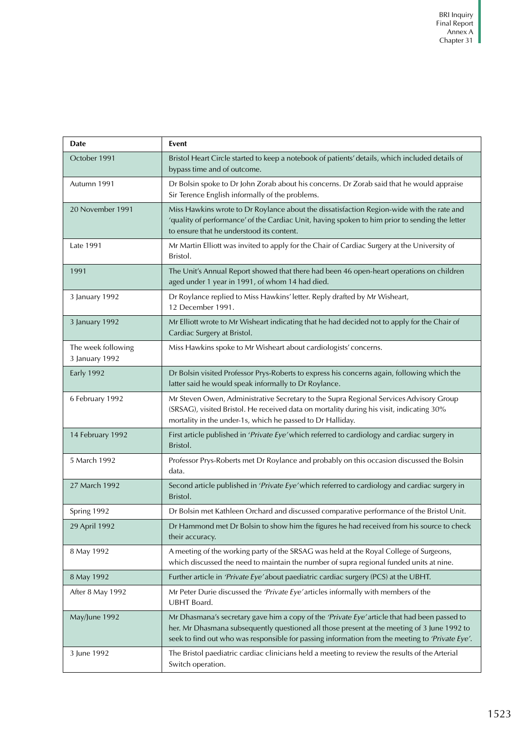| <b>Date</b>                          | <b>Event</b>                                                                                                                                                                                                                                                                                   |
|--------------------------------------|------------------------------------------------------------------------------------------------------------------------------------------------------------------------------------------------------------------------------------------------------------------------------------------------|
| October 1991                         | Bristol Heart Circle started to keep a notebook of patients' details, which included details of<br>bypass time and of outcome.                                                                                                                                                                 |
| Autumn 1991                          | Dr Bolsin spoke to Dr John Zorab about his concerns. Dr Zorab said that he would appraise<br>Sir Terence English informally of the problems.                                                                                                                                                   |
| 20 November 1991                     | Miss Hawkins wrote to Dr Roylance about the dissatisfaction Region-wide with the rate and<br>'quality of performance' of the Cardiac Unit, having spoken to him prior to sending the letter<br>to ensure that he understood its content.                                                       |
| Late 1991                            | Mr Martin Elliott was invited to apply for the Chair of Cardiac Surgery at the University of<br>Bristol.                                                                                                                                                                                       |
| 1991                                 | The Unit's Annual Report showed that there had been 46 open-heart operations on children<br>aged under 1 year in 1991, of whom 14 had died.                                                                                                                                                    |
| 3 January 1992                       | Dr Roylance replied to Miss Hawkins' letter. Reply drafted by Mr Wisheart,<br>12 December 1991.                                                                                                                                                                                                |
| 3 January 1992                       | Mr Elliott wrote to Mr Wisheart indicating that he had decided not to apply for the Chair of<br>Cardiac Surgery at Bristol.                                                                                                                                                                    |
| The week following<br>3 January 1992 | Miss Hawkins spoke to Mr Wisheart about cardiologists' concerns.                                                                                                                                                                                                                               |
| <b>Early 1992</b>                    | Dr Bolsin visited Professor Prys-Roberts to express his concerns again, following which the<br>latter said he would speak informally to Dr Roylance.                                                                                                                                           |
| 6 February 1992                      | Mr Steven Owen, Administrative Secretary to the Supra Regional Services Advisory Group<br>(SRSAG), visited Bristol. He received data on mortality during his visit, indicating 30%<br>mortality in the under-1s, which he passed to Dr Halliday.                                               |
| 14 February 1992                     | First article published in 'Private Eye' which referred to cardiology and cardiac surgery in<br>Bristol.                                                                                                                                                                                       |
| 5 March 1992                         | Professor Prys-Roberts met Dr Roylance and probably on this occasion discussed the Bolsin<br>data.                                                                                                                                                                                             |
| 27 March 1992                        | Second article published in 'Private Eye' which referred to cardiology and cardiac surgery in<br>Bristol.                                                                                                                                                                                      |
| Spring 1992                          | Dr Bolsin met Kathleen Orchard and discussed comparative performance of the Bristol Unit.                                                                                                                                                                                                      |
| 29 April 1992                        | Dr Hammond met Dr Bolsin to show him the figures he had received from his source to check<br>their accuracy.                                                                                                                                                                                   |
| 8 May 1992                           | A meeting of the working party of the SRSAG was held at the Royal College of Surgeons,<br>which discussed the need to maintain the number of supra regional funded units at nine.                                                                                                              |
| 8 May 1992                           | Further article in 'Private Eye' about paediatric cardiac surgery (PCS) at the UBHT.                                                                                                                                                                                                           |
| After 8 May 1992                     | Mr Peter Durie discussed the 'Private Eye' articles informally with members of the<br><b>UBHT</b> Board.                                                                                                                                                                                       |
| May/June 1992                        | Mr Dhasmana's secretary gave him a copy of the 'Private Eye' article that had been passed to<br>her. Mr Dhasmana subsequently questioned all those present at the meeting of 3 June 1992 to<br>seek to find out who was responsible for passing information from the meeting to 'Private Eye'. |
| 3 June 1992                          | The Bristol paediatric cardiac clinicians held a meeting to review the results of the Arterial<br>Switch operation.                                                                                                                                                                            |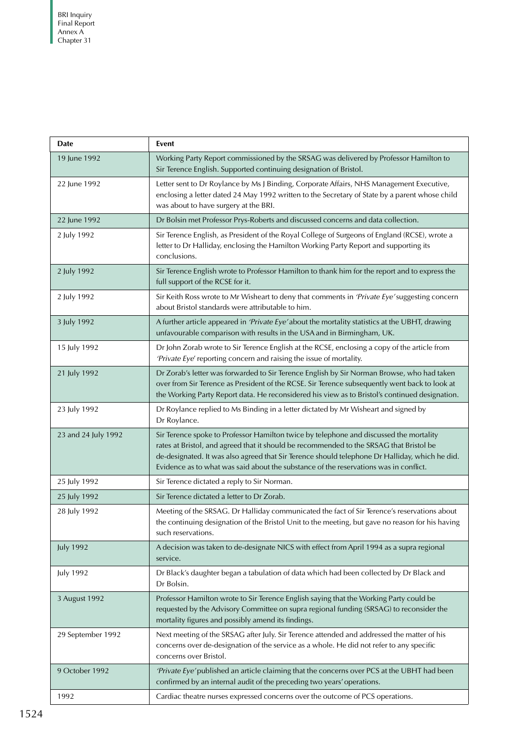| Date                | Event                                                                                                                                                                                                                                                                                                                                                                        |
|---------------------|------------------------------------------------------------------------------------------------------------------------------------------------------------------------------------------------------------------------------------------------------------------------------------------------------------------------------------------------------------------------------|
| 19 June 1992        | Working Party Report commissioned by the SRSAG was delivered by Professor Hamilton to<br>Sir Terence English. Supported continuing designation of Bristol.                                                                                                                                                                                                                   |
| 22 June 1992        | Letter sent to Dr Roylance by Ms J Binding, Corporate Affairs, NHS Management Executive,<br>enclosing a letter dated 24 May 1992 written to the Secretary of State by a parent whose child<br>was about to have surgery at the BRI.                                                                                                                                          |
| 22 June 1992        | Dr Bolsin met Professor Prys-Roberts and discussed concerns and data collection.                                                                                                                                                                                                                                                                                             |
| 2 July 1992         | Sir Terence English, as President of the Royal College of Surgeons of England (RCSE), wrote a<br>letter to Dr Halliday, enclosing the Hamilton Working Party Report and supporting its<br>conclusions.                                                                                                                                                                       |
| 2 July 1992         | Sir Terence English wrote to Professor Hamilton to thank him for the report and to express the<br>full support of the RCSE for it.                                                                                                                                                                                                                                           |
| 2 July 1992         | Sir Keith Ross wrote to Mr Wisheart to deny that comments in 'Private Eye' suggesting concern<br>about Bristol standards were attributable to him.                                                                                                                                                                                                                           |
| 3 July 1992         | A further article appeared in 'Private Eye' about the mortality statistics at the UBHT, drawing<br>unfavourable comparison with results in the USA and in Birmingham, UK.                                                                                                                                                                                                    |
| 15 July 1992        | Dr John Zorab wrote to Sir Terence English at the RCSE, enclosing a copy of the article from<br>'Private Eye' reporting concern and raising the issue of mortality.                                                                                                                                                                                                          |
| 21 July 1992        | Dr Zorab's letter was forwarded to Sir Terence English by Sir Norman Browse, who had taken<br>over from Sir Terence as President of the RCSE. Sir Terence subsequently went back to look at<br>the Working Party Report data. He reconsidered his view as to Bristol's continued designation.                                                                                |
| 23 July 1992        | Dr Roylance replied to Ms Binding in a letter dictated by Mr Wisheart and signed by<br>Dr Roylance.                                                                                                                                                                                                                                                                          |
| 23 and 24 July 1992 | Sir Terence spoke to Professor Hamilton twice by telephone and discussed the mortality<br>rates at Bristol, and agreed that it should be recommended to the SRSAG that Bristol be<br>de-designated. It was also agreed that Sir Terence should telephone Dr Halliday, which he did.<br>Evidence as to what was said about the substance of the reservations was in conflict. |
| 25 July 1992        | Sir Terence dictated a reply to Sir Norman.                                                                                                                                                                                                                                                                                                                                  |
| 25 July 1992        | Sir Terence dictated a letter to Dr Zorab.                                                                                                                                                                                                                                                                                                                                   |
| 28 July 1992        | Meeting of the SRSAG. Dr Halliday communicated the fact of Sir Terence's reservations about<br>the continuing designation of the Bristol Unit to the meeting, but gave no reason for his having<br>such reservations.                                                                                                                                                        |
| <b>July 1992</b>    | A decision was taken to de-designate NICS with effect from April 1994 as a supra regional<br>service.                                                                                                                                                                                                                                                                        |
| <b>July 1992</b>    | Dr Black's daughter began a tabulation of data which had been collected by Dr Black and<br>Dr Bolsin.                                                                                                                                                                                                                                                                        |
| 3 August 1992       | Professor Hamilton wrote to Sir Terence English saying that the Working Party could be<br>requested by the Advisory Committee on supra regional funding (SRSAG) to reconsider the<br>mortality figures and possibly amend its findings.                                                                                                                                      |
| 29 September 1992   | Next meeting of the SRSAG after July. Sir Terence attended and addressed the matter of his<br>concerns over de-designation of the service as a whole. He did not refer to any specific<br>concerns over Bristol.                                                                                                                                                             |
| 9 October 1992      | 'Private Eye' published an article claiming that the concerns over PCS at the UBHT had been<br>confirmed by an internal audit of the preceding two years' operations.                                                                                                                                                                                                        |
| 1992                | Cardiac theatre nurses expressed concerns over the outcome of PCS operations.                                                                                                                                                                                                                                                                                                |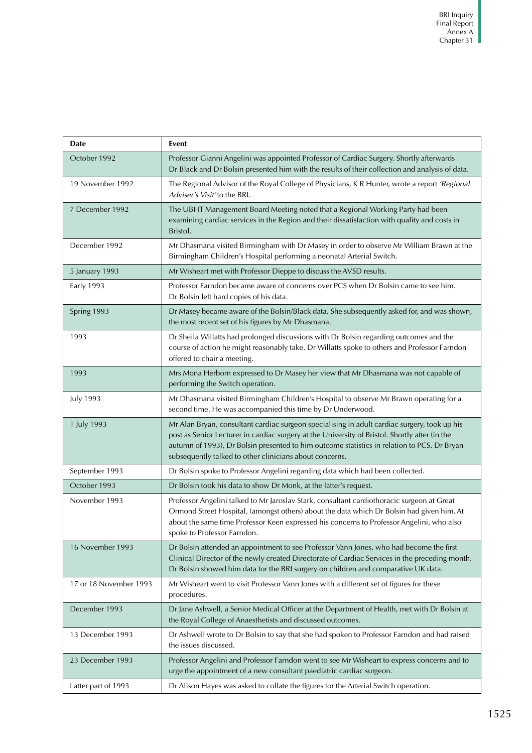| Date                   | <b>Event</b>                                                                                                                                                                                                                                                                                                                                             |
|------------------------|----------------------------------------------------------------------------------------------------------------------------------------------------------------------------------------------------------------------------------------------------------------------------------------------------------------------------------------------------------|
| October 1992           | Professor Gianni Angelini was appointed Professor of Cardiac Surgery. Shortly afterwards<br>Dr Black and Dr Bolsin presented him with the results of their collection and analysis of data.                                                                                                                                                              |
| 19 November 1992       | The Regional Advisor of the Royal College of Physicians, K R Hunter, wrote a report 'Regional<br>Adviser's Visit' to the BRI.                                                                                                                                                                                                                            |
| 7 December 1992        | The UBHT Management Board Meeting noted that a Regional Working Party had been<br>examining cardiac services in the Region and their dissatisfaction with quality and costs in<br>Bristol.                                                                                                                                                               |
| December 1992          | Mr Dhasmana visited Birmingham with Dr Masey in order to observe Mr William Brawn at the<br>Birmingham Children's Hospital performing a neonatal Arterial Switch.                                                                                                                                                                                        |
| 5 January 1993         | Mr Wisheart met with Professor Dieppe to discuss the AVSD results.                                                                                                                                                                                                                                                                                       |
| <b>Early 1993</b>      | Professor Farndon became aware of concerns over PCS when Dr Bolsin came to see him.<br>Dr Bolsin left hard copies of his data.                                                                                                                                                                                                                           |
| Spring 1993            | Dr Masey became aware of the Bolsin/Black data. She subsequently asked for, and was shown,<br>the most recent set of his figures by Mr Dhasmana.                                                                                                                                                                                                         |
| 1993                   | Dr Sheila Willatts had prolonged discussions with Dr Bolsin regarding outcomes and the<br>course of action he might reasonably take. Dr Willatts spoke to others and Professor Farndon<br>offered to chair a meeting.                                                                                                                                    |
| 1993                   | Mrs Mona Herborn expressed to Dr Masey her view that Mr Dhasmana was not capable of<br>performing the Switch operation.                                                                                                                                                                                                                                  |
| <b>July 1993</b>       | Mr Dhasmana visited Birmingham Children's Hospital to observe Mr Brawn operating for a<br>second time. He was accompanied this time by Dr Underwood.                                                                                                                                                                                                     |
| 1 July 1993            | Mr Alan Bryan, consultant cardiac surgeon specialising in adult cardiac surgery, took up his<br>post as Senior Lecturer in cardiac surgery at the University of Bristol. Shortly after (in the<br>autumn of 1993), Dr Bolsin presented to him outcome statistics in relation to PCS. Dr Bryan<br>subsequently talked to other clinicians about concerns. |
| September 1993         | Dr Bolsin spoke to Professor Angelini regarding data which had been collected.                                                                                                                                                                                                                                                                           |
| October 1993           | Dr Bolsin took his data to show Dr Monk, at the latter's request.                                                                                                                                                                                                                                                                                        |
| November 1993          | Professor Angelini talked to Mr Jaroslav Stark, consultant cardiothoracic surgeon at Great<br>Ormond Street Hospital, (amongst others) about the data which Dr Bolsin had given him. At<br>about the same time Professor Keen expressed his concerns to Professor Angelini, who also<br>spoke to Professor Farndon.                                      |
| 16 November 1993       | Dr Bolsin attended an appointment to see Professor Vann Jones, who had become the first<br>Clinical Director of the newly created Directorate of Cardiac Services in the preceding month.<br>Dr Bolsin showed him data for the BRI surgery on children and comparative UK data.                                                                          |
| 17 or 18 November 1993 | Mr Wisheart went to visit Professor Vann Jones with a different set of figures for these<br>procedures.                                                                                                                                                                                                                                                  |
| December 1993          | Dr Jane Ashwell, a Senior Medical Officer at the Department of Health, met with Dr Bolsin at<br>the Royal College of Anaesthetists and discussed outcomes.                                                                                                                                                                                               |
| 13 December 1993       | Dr Ashwell wrote to Dr Bolsin to say that she had spoken to Professor Farndon and had raised<br>the issues discussed.                                                                                                                                                                                                                                    |
| 23 December 1993       | Professor Angelini and Professor Farndon went to see Mr Wisheart to express concerns and to<br>urge the appointment of a new consultant paediatric cardiac surgeon.                                                                                                                                                                                      |
| Latter part of 1993    | Dr Alison Hayes was asked to collate the figures for the Arterial Switch operation.                                                                                                                                                                                                                                                                      |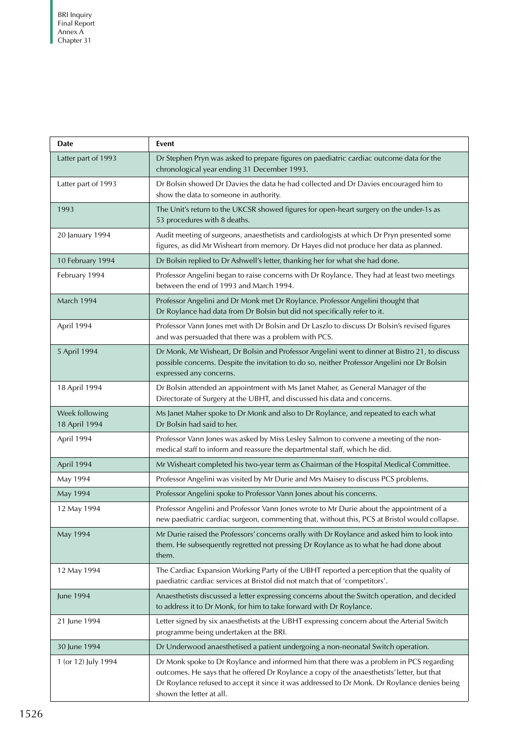| <b>Date</b>                     | Event                                                                                                                                                                                                                                                                                                              |
|---------------------------------|--------------------------------------------------------------------------------------------------------------------------------------------------------------------------------------------------------------------------------------------------------------------------------------------------------------------|
| Latter part of 1993             | Dr Stephen Pryn was asked to prepare figures on paediatric cardiac outcome data for the<br>chronological year ending 31 December 1993.                                                                                                                                                                             |
| Latter part of 1993             | Dr Bolsin showed Dr Davies the data he had collected and Dr Davies encouraged him to<br>show the data to someone in authority.                                                                                                                                                                                     |
| 1993                            | The Unit's return to the UKCSR showed figures for open-heart surgery on the under-1s as<br>53 procedures with 8 deaths.                                                                                                                                                                                            |
| 20 January 1994                 | Audit meeting of surgeons, anaesthetists and cardiologists at which Dr Pryn presented some<br>figures, as did Mr Wisheart from memory. Dr Hayes did not produce her data as planned.                                                                                                                               |
| 10 February 1994                | Dr Bolsin replied to Dr Ashwell's letter, thanking her for what she had done.                                                                                                                                                                                                                                      |
| February 1994                   | Professor Angelini began to raise concerns with Dr Roylance. They had at least two meetings<br>between the end of 1993 and March 1994.                                                                                                                                                                             |
| March 1994                      | Professor Angelini and Dr Monk met Dr Roylance. Professor Angelini thought that<br>Dr Roylance had data from Dr Bolsin but did not specifically refer to it.                                                                                                                                                       |
| April 1994                      | Professor Vann Jones met with Dr Bolsin and Dr Laszlo to discuss Dr Bolsin's revised figures<br>and was persuaded that there was a problem with PCS.                                                                                                                                                               |
| 5 April 1994                    | Dr Monk, Mr Wisheart, Dr Bolsin and Professor Angelini went to dinner at Bistro 21, to discuss<br>possible concerns. Despite the invitation to do so, neither Professor Angelini nor Dr Bolsin<br>expressed any concerns.                                                                                          |
| 18 April 1994                   | Dr Bolsin attended an appointment with Ms Janet Maher, as General Manager of the<br>Directorate of Surgery at the UBHT, and discussed his data and concerns.                                                                                                                                                       |
| Week following<br>18 April 1994 | Ms Janet Maher spoke to Dr Monk and also to Dr Roylance, and repeated to each what<br>Dr Bolsin had said to her.                                                                                                                                                                                                   |
| April 1994                      | Professor Vann Jones was asked by Miss Lesley Salmon to convene a meeting of the non-<br>medical staff to inform and reassure the departmental staff, which he did.                                                                                                                                                |
| April 1994                      | Mr Wisheart completed his two-year term as Chairman of the Hospital Medical Committee.                                                                                                                                                                                                                             |
| May 1994                        | Professor Angelini was visited by Mr Durie and Mrs Maisey to discuss PCS problems.                                                                                                                                                                                                                                 |
| May 1994                        | Professor Angelini spoke to Professor Vann Jones about his concerns.                                                                                                                                                                                                                                               |
| 12 May 1994                     | Professor Angelini and Professor Vann Jones wrote to Mr Durie about the appointment of a<br>new paediatric cardiac surgeon, commenting that, without this, PCS at Bristol would collapse.                                                                                                                          |
| May 1994                        | Mr Durie raised the Professors' concerns orally with Dr Roylance and asked him to look into<br>them. He subsequently regretted not pressing Dr Roylance as to what he had done about<br>them.                                                                                                                      |
| 12 May 1994                     | The Cardiac Expansion Working Party of the UBHT reported a perception that the quality of<br>paediatric cardiac services at Bristol did not match that of 'competitors'.                                                                                                                                           |
| June 1994                       | Anaesthetists discussed a letter expressing concerns about the Switch operation, and decided<br>to address it to Dr Monk, for him to take forward with Dr Roylance.                                                                                                                                                |
| 21 June 1994                    | Letter signed by six anaesthetists at the UBHT expressing concern about the Arterial Switch<br>programme being undertaken at the BRI.                                                                                                                                                                              |
| 30 June 1994                    | Dr Underwood anaesthetised a patient undergoing a non-neonatal Switch operation.                                                                                                                                                                                                                                   |
| 1 (or 12) July 1994             | Dr Monk spoke to Dr Roylance and informed him that there was a problem in PCS regarding<br>outcomes. He says that he offered Dr Roylance a copy of the anaesthetists' letter, but that<br>Dr Roylance refused to accept it since it was addressed to Dr Monk. Dr Roylance denies being<br>shown the letter at all. |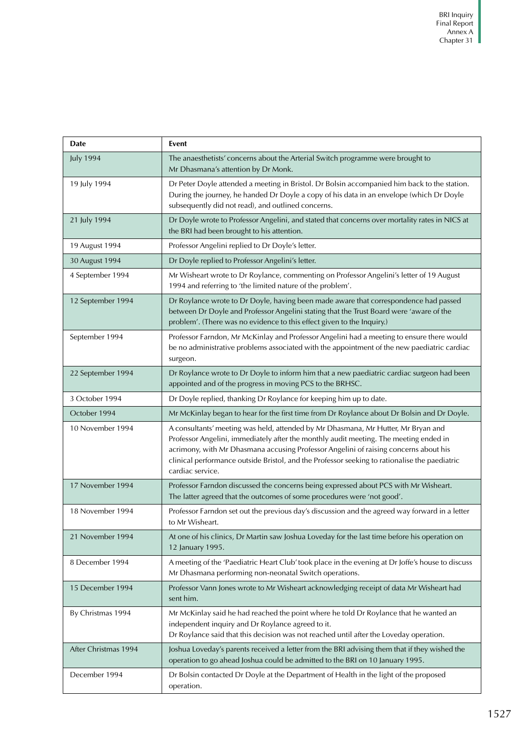| Date                 | Event                                                                                                                                                                                                                                                                                                                                                                                   |
|----------------------|-----------------------------------------------------------------------------------------------------------------------------------------------------------------------------------------------------------------------------------------------------------------------------------------------------------------------------------------------------------------------------------------|
| <b>July 1994</b>     | The anaesthetists' concerns about the Arterial Switch programme were brought to<br>Mr Dhasmana's attention by Dr Monk.                                                                                                                                                                                                                                                                  |
| 19 July 1994         | Dr Peter Doyle attended a meeting in Bristol. Dr Bolsin accompanied him back to the station.<br>During the journey, he handed Dr Doyle a copy of his data in an envelope (which Dr Doyle<br>subsequently did not read), and outlined concerns.                                                                                                                                          |
| 21 July 1994         | Dr Doyle wrote to Professor Angelini, and stated that concerns over mortality rates in NICS at<br>the BRI had been brought to his attention.                                                                                                                                                                                                                                            |
| 19 August 1994       | Professor Angelini replied to Dr Doyle's letter.                                                                                                                                                                                                                                                                                                                                        |
| 30 August 1994       | Dr Doyle replied to Professor Angelini's letter.                                                                                                                                                                                                                                                                                                                                        |
| 4 September 1994     | Mr Wisheart wrote to Dr Roylance, commenting on Professor Angelini's letter of 19 August<br>1994 and referring to 'the limited nature of the problem'.                                                                                                                                                                                                                                  |
| 12 September 1994    | Dr Roylance wrote to Dr Doyle, having been made aware that correspondence had passed<br>between Dr Doyle and Professor Angelini stating that the Trust Board were 'aware of the<br>problem'. (There was no evidence to this effect given to the Inquiry.)                                                                                                                               |
| September 1994       | Professor Farndon, Mr McKinlay and Professor Angelini had a meeting to ensure there would<br>be no administrative problems associated with the appointment of the new paediatric cardiac<br>surgeon.                                                                                                                                                                                    |
| 22 September 1994    | Dr Roylance wrote to Dr Doyle to inform him that a new paediatric cardiac surgeon had been<br>appointed and of the progress in moving PCS to the BRHSC.                                                                                                                                                                                                                                 |
| 3 October 1994       | Dr Doyle replied, thanking Dr Roylance for keeping him up to date.                                                                                                                                                                                                                                                                                                                      |
| October 1994         | Mr McKinlay began to hear for the first time from Dr Roylance about Dr Bolsin and Dr Doyle.                                                                                                                                                                                                                                                                                             |
| 10 November 1994     | A consultants' meeting was held, attended by Mr Dhasmana, Mr Hutter, Mr Bryan and<br>Professor Angelini, immediately after the monthly audit meeting. The meeting ended in<br>acrimony, with Mr Dhasmana accusing Professor Angelini of raising concerns about his<br>clinical performance outside Bristol, and the Professor seeking to rationalise the paediatric<br>cardiac service. |
| 17 November 1994     | Professor Farndon discussed the concerns being expressed about PCS with Mr Wisheart.<br>The latter agreed that the outcomes of some procedures were 'not good'.                                                                                                                                                                                                                         |
| 18 November 1994     | Professor Farndon set out the previous day's discussion and the agreed way forward in a letter<br>to Mr Wisheart.                                                                                                                                                                                                                                                                       |
| 21 November 1994     | At one of his clinics, Dr Martin saw Joshua Loveday for the last time before his operation on<br>12 January 1995.                                                                                                                                                                                                                                                                       |
| 8 December 1994      | A meeting of the 'Paediatric Heart Club' took place in the evening at Dr Joffe's house to discuss<br>Mr Dhasmana performing non-neonatal Switch operations.                                                                                                                                                                                                                             |
| 15 December 1994     | Professor Vann Jones wrote to Mr Wisheart acknowledging receipt of data Mr Wisheart had<br>sent him.                                                                                                                                                                                                                                                                                    |
| By Christmas 1994    | Mr McKinlay said he had reached the point where he told Dr Roylance that he wanted an<br>independent inquiry and Dr Roylance agreed to it.<br>Dr Roylance said that this decision was not reached until after the Loveday operation.                                                                                                                                                    |
| After Christmas 1994 | Joshua Loveday's parents received a letter from the BRI advising them that if they wished the<br>operation to go ahead Joshua could be admitted to the BRI on 10 January 1995.                                                                                                                                                                                                          |
| December 1994        | Dr Bolsin contacted Dr Doyle at the Department of Health in the light of the proposed<br>operation.                                                                                                                                                                                                                                                                                     |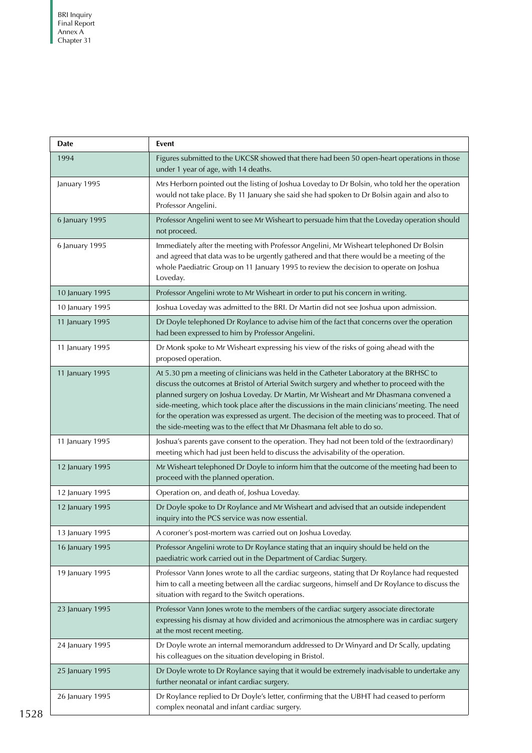| <b>Date</b>     | Event                                                                                                                                                                                                                                                                                                                                                                                                                                                                                                                                                       |
|-----------------|-------------------------------------------------------------------------------------------------------------------------------------------------------------------------------------------------------------------------------------------------------------------------------------------------------------------------------------------------------------------------------------------------------------------------------------------------------------------------------------------------------------------------------------------------------------|
| 1994            | Figures submitted to the UKCSR showed that there had been 50 open-heart operations in those<br>under 1 year of age, with 14 deaths.                                                                                                                                                                                                                                                                                                                                                                                                                         |
| January 1995    | Mrs Herborn pointed out the listing of Joshua Loveday to Dr Bolsin, who told her the operation<br>would not take place. By 11 January she said she had spoken to Dr Bolsin again and also to<br>Professor Angelini.                                                                                                                                                                                                                                                                                                                                         |
| 6 January 1995  | Professor Angelini went to see Mr Wisheart to persuade him that the Loveday operation should<br>not proceed.                                                                                                                                                                                                                                                                                                                                                                                                                                                |
| 6 January 1995  | Immediately after the meeting with Professor Angelini, Mr Wisheart telephoned Dr Bolsin<br>and agreed that data was to be urgently gathered and that there would be a meeting of the<br>whole Paediatric Group on 11 January 1995 to review the decision to operate on Joshua<br>Loveday.                                                                                                                                                                                                                                                                   |
| 10 January 1995 | Professor Angelini wrote to Mr Wisheart in order to put his concern in writing.                                                                                                                                                                                                                                                                                                                                                                                                                                                                             |
| 10 January 1995 | Joshua Loveday was admitted to the BRI. Dr Martin did not see Joshua upon admission.                                                                                                                                                                                                                                                                                                                                                                                                                                                                        |
| 11 January 1995 | Dr Doyle telephoned Dr Roylance to advise him of the fact that concerns over the operation<br>had been expressed to him by Professor Angelini.                                                                                                                                                                                                                                                                                                                                                                                                              |
| 11 January 1995 | Dr Monk spoke to Mr Wisheart expressing his view of the risks of going ahead with the<br>proposed operation.                                                                                                                                                                                                                                                                                                                                                                                                                                                |
| 11 January 1995 | At 5.30 pm a meeting of clinicians was held in the Catheter Laboratory at the BRHSC to<br>discuss the outcomes at Bristol of Arterial Switch surgery and whether to proceed with the<br>planned surgery on Joshua Loveday. Dr Martin, Mr Wisheart and Mr Dhasmana convened a<br>side-meeting, which took place after the discussions in the main clinicians' meeting. The need<br>for the operation was expressed as urgent. The decision of the meeting was to proceed. That of<br>the side-meeting was to the effect that Mr Dhasmana felt able to do so. |
| 11 January 1995 | Joshua's parents gave consent to the operation. They had not been told of the (extraordinary)<br>meeting which had just been held to discuss the advisability of the operation.                                                                                                                                                                                                                                                                                                                                                                             |
| 12 January 1995 | Mr Wisheart telephoned Dr Doyle to inform him that the outcome of the meeting had been to<br>proceed with the planned operation.                                                                                                                                                                                                                                                                                                                                                                                                                            |
| 12 January 1995 | Operation on, and death of, Joshua Loveday.                                                                                                                                                                                                                                                                                                                                                                                                                                                                                                                 |
| 12 January 1995 | Dr Doyle spoke to Dr Roylance and Mr Wisheart and advised that an outside independent<br>inquiry into the PCS service was now essential.                                                                                                                                                                                                                                                                                                                                                                                                                    |
| 13 January 1995 | A coroner's post-mortem was carried out on Joshua Loveday.                                                                                                                                                                                                                                                                                                                                                                                                                                                                                                  |
| 16 January 1995 | Professor Angelini wrote to Dr Roylance stating that an inquiry should be held on the<br>paediatric work carried out in the Department of Cardiac Surgery.                                                                                                                                                                                                                                                                                                                                                                                                  |
| 19 January 1995 | Professor Vann Jones wrote to all the cardiac surgeons, stating that Dr Roylance had requested<br>him to call a meeting between all the cardiac surgeons, himself and Dr Roylance to discuss the<br>situation with regard to the Switch operations.                                                                                                                                                                                                                                                                                                         |
| 23 January 1995 | Professor Vann Jones wrote to the members of the cardiac surgery associate directorate<br>expressing his dismay at how divided and acrimonious the atmosphere was in cardiac surgery<br>at the most recent meeting.                                                                                                                                                                                                                                                                                                                                         |
| 24 January 1995 | Dr Doyle wrote an internal memorandum addressed to Dr Winyard and Dr Scally, updating<br>his colleagues on the situation developing in Bristol.                                                                                                                                                                                                                                                                                                                                                                                                             |
| 25 January 1995 | Dr Doyle wrote to Dr Roylance saying that it would be extremely inadvisable to undertake any<br>further neonatal or infant cardiac surgery.                                                                                                                                                                                                                                                                                                                                                                                                                 |
| 26 January 1995 | Dr Roylance replied to Dr Doyle's letter, confirming that the UBHT had ceased to perform<br>complex neonatal and infant cardiac surgery.                                                                                                                                                                                                                                                                                                                                                                                                                    |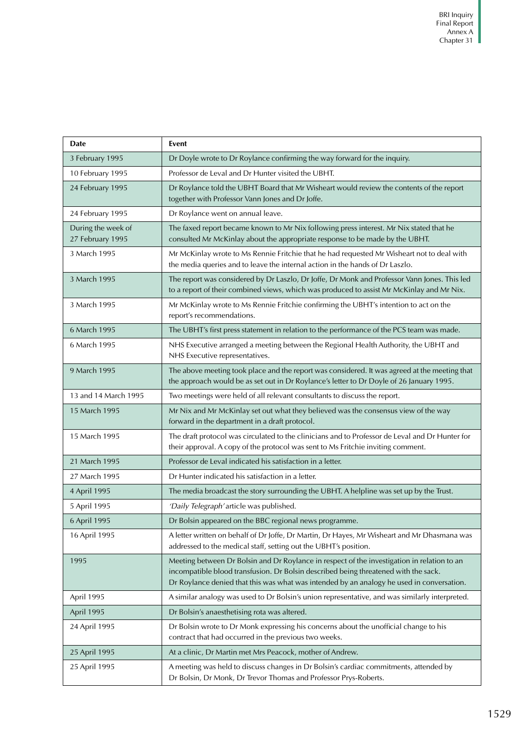| Date                                   | Event                                                                                                                                                                                                                                                                           |
|----------------------------------------|---------------------------------------------------------------------------------------------------------------------------------------------------------------------------------------------------------------------------------------------------------------------------------|
| 3 February 1995                        | Dr Doyle wrote to Dr Roylance confirming the way forward for the inquiry.                                                                                                                                                                                                       |
| 10 February 1995                       | Professor de Leval and Dr Hunter visited the UBHT.                                                                                                                                                                                                                              |
| 24 February 1995                       | Dr Roylance told the UBHT Board that Mr Wisheart would review the contents of the report<br>together with Professor Vann Jones and Dr Joffe.                                                                                                                                    |
| 24 February 1995                       | Dr Roylance went on annual leave.                                                                                                                                                                                                                                               |
| During the week of<br>27 February 1995 | The faxed report became known to Mr Nix following press interest. Mr Nix stated that he<br>consulted Mr McKinlay about the appropriate response to be made by the UBHT.                                                                                                         |
| 3 March 1995                           | Mr McKinlay wrote to Ms Rennie Fritchie that he had requested Mr Wisheart not to deal with<br>the media queries and to leave the internal action in the hands of Dr Laszlo.                                                                                                     |
| 3 March 1995                           | The report was considered by Dr Laszlo, Dr Joffe, Dr Monk and Professor Vann Jones. This led<br>to a report of their combined views, which was produced to assist Mr McKinlay and Mr Nix.                                                                                       |
| 3 March 1995                           | Mr McKinlay wrote to Ms Rennie Fritchie confirming the UBHT's intention to act on the<br>report's recommendations.                                                                                                                                                              |
| 6 March 1995                           | The UBHT's first press statement in relation to the performance of the PCS team was made.                                                                                                                                                                                       |
| 6 March 1995                           | NHS Executive arranged a meeting between the Regional Health Authority, the UBHT and<br>NHS Executive representatives.                                                                                                                                                          |
| 9 March 1995                           | The above meeting took place and the report was considered. It was agreed at the meeting that<br>the approach would be as set out in Dr Roylance's letter to Dr Doyle of 26 January 1995.                                                                                       |
| 13 and 14 March 1995                   | Two meetings were held of all relevant consultants to discuss the report.                                                                                                                                                                                                       |
| 15 March 1995                          | Mr Nix and Mr McKinlay set out what they believed was the consensus view of the way<br>forward in the department in a draft protocol.                                                                                                                                           |
| 15 March 1995                          | The draft protocol was circulated to the clinicians and to Professor de Leval and Dr Hunter for<br>their approval. A copy of the protocol was sent to Ms Fritchie inviting comment.                                                                                             |
| 21 March 1995                          | Professor de Leval indicated his satisfaction in a letter.                                                                                                                                                                                                                      |
| 27 March 1995                          | Dr Hunter indicated his satisfaction in a letter.                                                                                                                                                                                                                               |
| 4 April 1995                           | The media broadcast the story surrounding the UBHT. A helpline was set up by the Trust.                                                                                                                                                                                         |
| 5 April 1995                           | 'Daily Telegraph' article was published.                                                                                                                                                                                                                                        |
| 6 April 1995                           | Dr Bolsin appeared on the BBC regional news programme.                                                                                                                                                                                                                          |
| 16 April 1995                          | A letter written on behalf of Dr Joffe, Dr Martin, Dr Hayes, Mr Wisheart and Mr Dhasmana was<br>addressed to the medical staff, setting out the UBHT's position.                                                                                                                |
| 1995                                   | Meeting between Dr Bolsin and Dr Roylance in respect of the investigation in relation to an<br>incompatible blood transfusion. Dr Bolsin described being threatened with the sack.<br>Dr Roylance denied that this was what was intended by an analogy he used in conversation. |
| April 1995                             | A similar analogy was used to Dr Bolsin's union representative, and was similarly interpreted.                                                                                                                                                                                  |
| April 1995                             | Dr Bolsin's anaesthetising rota was altered.                                                                                                                                                                                                                                    |
| 24 April 1995                          | Dr Bolsin wrote to Dr Monk expressing his concerns about the unofficial change to his<br>contract that had occurred in the previous two weeks.                                                                                                                                  |
| 25 April 1995                          | At a clinic, Dr Martin met Mrs Peacock, mother of Andrew.                                                                                                                                                                                                                       |
| 25 April 1995                          | A meeting was held to discuss changes in Dr Bolsin's cardiac commitments, attended by<br>Dr Bolsin, Dr Monk, Dr Trevor Thomas and Professor Prys-Roberts.                                                                                                                       |